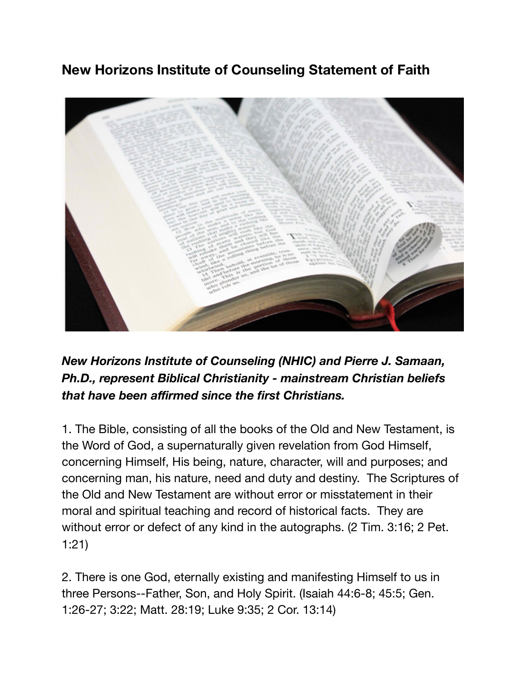## **New Horizons Institute of Counseling Statement of Faith**



*New Horizons Institute of Counseling (NHIC) and Pierre J. Samaan, Ph.D., represent Biblical Christianity - mainstream Christian beliefs that have been affirmed since the first Christians.*

1. The Bible, consisting of all the books of the Old and New Testament, is the Word of God, a supernaturally given revelation from God Himself, concerning Himself, His being, nature, character, will and purposes; and concerning man, his nature, need and duty and destiny. The Scriptures of the Old and New Testament are without error or misstatement in their moral and spiritual teaching and record of historical facts. They are without error or defect of any kind in the autographs. (2 Tim. 3:16; 2 Pet. 1:21)

2. There is one God, eternally existing and manifesting Himself to us in three Persons--Father, Son, and Holy Spirit. (Isaiah 44:6-8; 45:5; Gen. 1:26-27; 3:22; Matt. 28:19; Luke 9:35; 2 Cor. 13:14)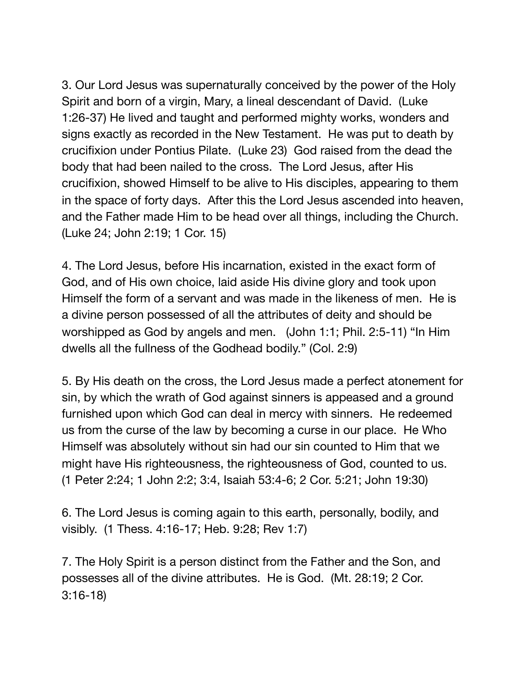3. Our Lord Jesus was supernaturally conceived by the power of the Holy Spirit and born of a virgin, Mary, a lineal descendant of David. (Luke 1:26-37) He lived and taught and performed mighty works, wonders and signs exactly as recorded in the New Testament. He was put to death by crucifixion under Pontius Pilate. (Luke 23) God raised from the dead the body that had been nailed to the cross. The Lord Jesus, after His crucifixion, showed Himself to be alive to His disciples, appearing to them in the space of forty days. After this the Lord Jesus ascended into heaven, and the Father made Him to be head over all things, including the Church. (Luke 24; John 2:19; 1 Cor. 15)

4. The Lord Jesus, before His incarnation, existed in the exact form of God, and of His own choice, laid aside His divine glory and took upon Himself the form of a servant and was made in the likeness of men. He is a divine person possessed of all the attributes of deity and should be worshipped as God by angels and men. (John 1:1; Phil. 2:5-11) "In Him dwells all the fullness of the Godhead bodily." (Col. 2:9)

5. By His death on the cross, the Lord Jesus made a perfect atonement for sin, by which the wrath of God against sinners is appeased and a ground furnished upon which God can deal in mercy with sinners. He redeemed us from the curse of the law by becoming a curse in our place. He Who Himself was absolutely without sin had our sin counted to Him that we might have His righteousness, the righteousness of God, counted to us. (1 Peter 2:24; 1 John 2:2; 3:4, Isaiah 53:4-6; 2 Cor. 5:21; John 19:30)

6. The Lord Jesus is coming again to this earth, personally, bodily, and visibly. (1 Thess. 4:16-17; Heb. 9:28; Rev 1:7)

7. The Holy Spirit is a person distinct from the Father and the Son, and possesses all of the divine attributes. He is God. (Mt. 28:19; 2 Cor. 3:16-18)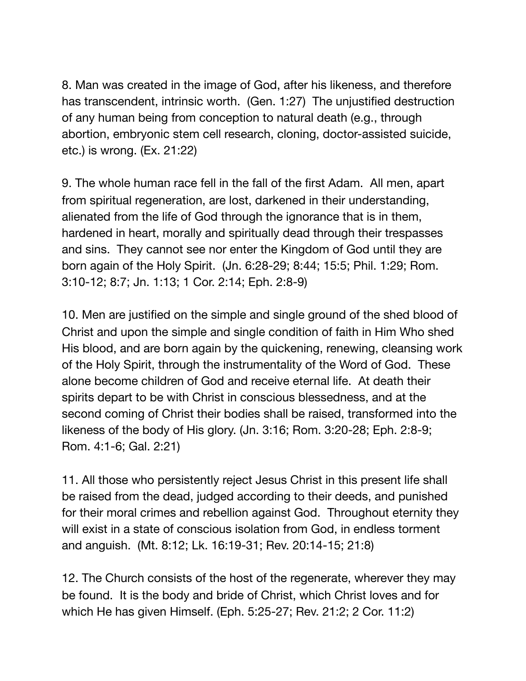8. Man was created in the image of God, after his likeness, and therefore has transcendent, intrinsic worth. (Gen. 1:27) The unjustified destruction of any human being from conception to natural death (e.g., through abortion, embryonic stem cell research, cloning, doctor-assisted suicide, etc.) is wrong. (Ex. 21:22)

9. The whole human race fell in the fall of the first Adam. All men, apart from spiritual regeneration, are lost, darkened in their understanding, alienated from the life of God through the ignorance that is in them, hardened in heart, morally and spiritually dead through their trespasses and sins. They cannot see nor enter the Kingdom of God until they are born again of the Holy Spirit. (Jn. 6:28-29; 8:44; 15:5; Phil. 1:29; Rom. 3:10-12; 8:7; Jn. 1:13; 1 Cor. 2:14; Eph. 2:8-9)

10. Men are justified on the simple and single ground of the shed blood of Christ and upon the simple and single condition of faith in Him Who shed His blood, and are born again by the quickening, renewing, cleansing work of the Holy Spirit, through the instrumentality of the Word of God. These alone become children of God and receive eternal life. At death their spirits depart to be with Christ in conscious blessedness, and at the second coming of Christ their bodies shall be raised, transformed into the likeness of the body of His glory. (Jn. 3:16; Rom. 3:20-28; Eph. 2:8-9; Rom. 4:1-6; Gal. 2:21)

11. All those who persistently reject Jesus Christ in this present life shall be raised from the dead, judged according to their deeds, and punished for their moral crimes and rebellion against God. Throughout eternity they will exist in a state of conscious isolation from God, in endless torment and anguish. (Mt. 8:12; Lk. 16:19-31; Rev. 20:14-15; 21:8)

12. The Church consists of the host of the regenerate, wherever they may be found. It is the body and bride of Christ, which Christ loves and for which He has given Himself. (Eph. 5:25-27; Rev. 21:2; 2 Cor. 11:2)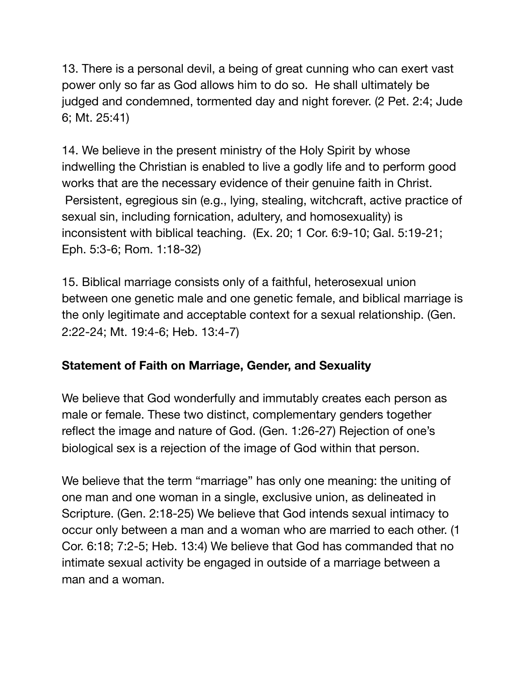13. There is a personal devil, a being of great cunning who can exert vast power only so far as God allows him to do so. He shall ultimately be judged and condemned, tormented day and night forever. (2 Pet. 2:4; Jude 6; Mt. 25:41)

14. We believe in the present ministry of the Holy Spirit by whose indwelling the Christian is enabled to live a godly life and to perform good works that are the necessary evidence of their genuine faith in Christ. Persistent, egregious sin (e.g., lying, stealing, witchcraft, active practice of sexual sin, including fornication, adultery, and homosexuality) is inconsistent with biblical teaching. (Ex. 20; 1 Cor. 6:9-10; Gal. 5:19-21; Eph. 5:3-6; Rom. 1:18-32)

15. Biblical marriage consists only of a faithful, heterosexual union between one genetic male and one genetic female, and biblical marriage is the only legitimate and acceptable context for a sexual relationship. (Gen. 2:22-24; Mt. 19:4-6; Heb. 13:4-7)

## **Statement of Faith on Marriage, Gender, and Sexuality**

We believe that God wonderfully and immutably creates each person as male or female. These two distinct, complementary genders together reflect the image and nature of God. (Gen. 1:26-27) Rejection of one's biological sex is a rejection of the image of God within that person.

We believe that the term "marriage" has only one meaning: the uniting of one man and one woman in a single, exclusive union, as delineated in Scripture. (Gen. 2:18-25) We believe that God intends sexual intimacy to occur only between a man and a woman who are married to each other. (1 Cor. 6:18; 7:2-5; Heb. 13:4) We believe that God has commanded that no intimate sexual activity be engaged in outside of a marriage between a man and a woman.